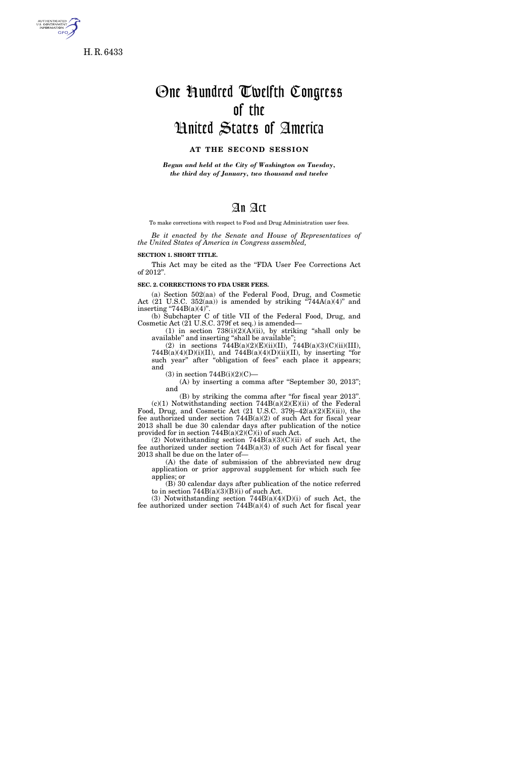

H. R. 6433

# One Hundred Twelfth Congress of the United States of America

## **AT THE SECOND SESSION**

*Begun and held at the City of Washington on Tuesday, the third day of January, two thousand and twelve* 

### An Act

To make corrections with respect to Food and Drug Administration user fees.

*Be it enacted by the Senate and House of Representatives of the United States of America in Congress assembled,* 

#### **SECTION 1. SHORT TITLE.**

This Act may be cited as the ''FDA User Fee Corrections Act of 2012''.

**SEC. 2. CORRECTIONS TO FDA USER FEES.** 

(a) Section 502(aa) of the Federal Food, Drug, and Cosmetic Act  $(21 \text{ U.S.C. } 352(aa))$  is amended by striking "744A $(a)(4)$ " and inserting "744B $(a)(4)$ ".

(b) Subchapter C of title VII of the Federal Food, Drug, and Cosmetic Act (21 U.S.C. 379f et seq.) is amended—

 $(1)$  in section  $738(i)(2)(A)(ii)$ , by striking "shall only be available'' and inserting ''shall be available'';

(2) in sections  $744B(a)(2)(E)(ii)(II)$ ,  $744B(a)(3)(C)(ii)(III)$ ,  $744B(a)(4)(D)(i)(II)$ , and  $744B(a)(4)(D)(ii)(II)$ , by inserting "for such year" after "obligation of fees" each place it appears; and

 $(3)$  in section  $744B(i)(2)(C)$ —

(A) by inserting a comma after "September 30, 2013"; and

(B) by striking the comma after ''for fiscal year 2013''.  $(c)(1)$  Notwithstanding section 744B(a)(2)(E)(ii) of the Federal Food, Drug, and Cosmetic Act (21 U.S.C. 379j–42(a)(2)(E)(ii)), the fee authorized under section 744B(a)(2) of such Act for fiscal year 2013 shall be due 30 calendar days after publication of the notice provided for in section  $744B(a)(2)(C)(i)$  of such Act.

(2) Notwithstanding section 744B(a)(3)(C)(ii) of such Act, the fee authorized under section  $744B(a)(3)$  of such Act for fiscal year 2013 shall be due on the later of—

(A) the date of submission of the abbreviated new drug application or prior approval supplement for which such fee applies; or

(B) 30 calendar days after publication of the notice referred to in section  $744B(a)(3)(B)(i)$  of such Act.

(3) Notwithstanding section  $744B(a)(4)(D)(i)$  of such Act, the fee authorized under section  $744B(a)(4)$  of such Act for fiscal year